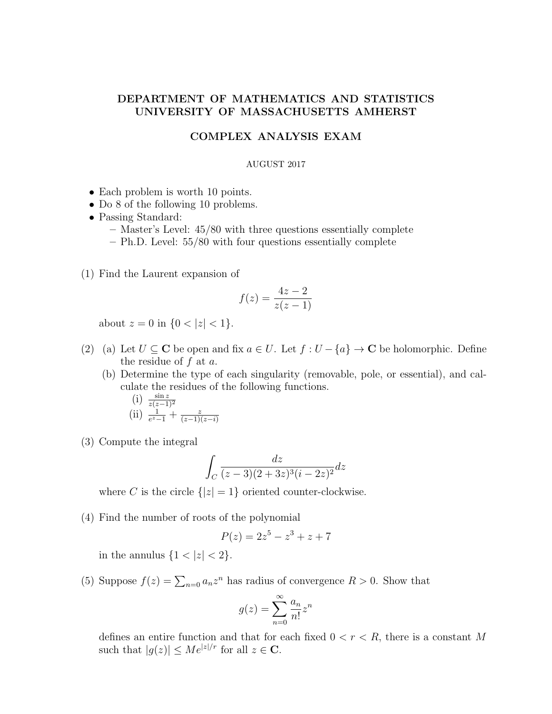## DEPARTMENT OF MATHEMATICS AND STATISTICS UNIVERSITY OF MASSACHUSETTS AMHERST

## COMPLEX ANALYSIS EXAM

## AUGUST 2017

- Each problem is worth 10 points.
- Do 8 of the following 10 problems.
- Passing Standard:
	- Master's Level: 45/80 with three questions essentially complete
	- Ph.D. Level: 55/80 with four questions essentially complete
- (1) Find the Laurent expansion of

$$
f(z) = \frac{4z - 2}{z(z - 1)}
$$

about  $z = 0$  in  $\{0 < |z| < 1\}.$ 

- (2) (a) Let  $U \subseteq \mathbb{C}$  be open and fix  $a \in U$ . Let  $f : U \{a\} \to \mathbb{C}$  be holomorphic. Define the residue of  $f$  at  $a$ .
	- (b) Determine the type of each singularity (removable, pole, or essential), and calculate the residues of the following functions.

(i) 
$$
\frac{\sin z}{z(z-1)^2}
$$
  
(ii)  $\frac{1}{e^z-1} + \frac{z}{(z-1)(z-i)}$ 

(3) Compute the integral

$$
\int_C \frac{dz}{(z-3)(2+3z)^3(i-2z)^2}dz
$$

where C is the circle  $\{|z|=1\}$  oriented counter-clockwise.

(4) Find the number of roots of the polynomial

$$
P(z) = 2z^5 - z^3 + z + 7
$$

in the annulus  ${1 < |z| < 2}.$ 

(5) Suppose  $f(z) = \sum_{n=0} a_n z^n$  has radius of convergence  $R > 0$ . Show that

$$
g(z) = \sum_{n=0}^{\infty} \frac{a_n}{n!} z^n
$$

defines an entire function and that for each fixed  $0 < r < R$ , there is a constant M such that  $|g(z)| \leq Me^{|z|/r}$  for all  $z \in \mathbf{C}$ .